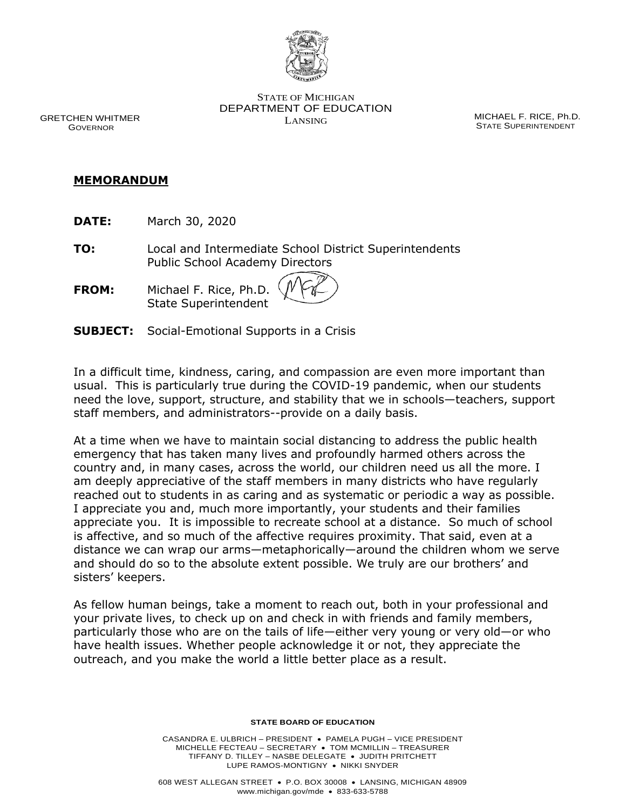

STATE OF MICHIGAN DEPARTMENT OF EDUCATION LANSING MICHAEL F. RICE, Ph.D.

STATE SUPERINTENDENT

GRETCHEN WHITMER GOVERNOR

## **MEMORANDUM**

**DATE:** March 30, 2020

**TO:** Local and Intermediate School District Superintendents Public School Academy Directors

**FROM:** Michael F. Rice, Ph.D. State Superintendent

**SUBJECT:** Social-Emotional Supports in a Crisis

In a difficult time, kindness, caring, and compassion are even more important than usual. This is particularly true during the COVID-19 pandemic, when our students need the love, support, structure, and stability that we in schools—teachers, support staff members, and administrators--provide on a daily basis.

At a time when we have to maintain social distancing to address the public health emergency that has taken many lives and profoundly harmed others across the country and, in many cases, across the world, our children need us all the more. I am deeply appreciative of the staff members in many districts who have regularly reached out to students in as caring and as systematic or periodic a way as possible. I appreciate you and, much more importantly, your students and their families appreciate you. It is impossible to recreate school at a distance. So much of school is affective, and so much of the affective requires proximity. That said, even at a distance we can wrap our arms—metaphorically—around the children whom we serve and should do so to the absolute extent possible. We truly are our brothers' and sisters' keepers.

As fellow human beings, take a moment to reach out, both in your professional and your private lives, to check up on and check in with friends and family members, particularly those who are on the tails of life—either very young or very old—or who have health issues. Whether people acknowledge it or not, they appreciate the outreach, and you make the world a little better place as a result.

## **STATE BOARD OF EDUCATION**

CASANDRA E. ULBRICH – PRESIDENT • PAMELA PUGH – VICE PRESIDENT MICHELLE FECTEAU – SECRETARY • TOM MCMILLIN – TREASURER TIFFANY D. TILLEY – NASBE DELEGATE • JUDITH PRITCHETT LUPE RAMOS-MONTIGNY • NIKKI SNYDER